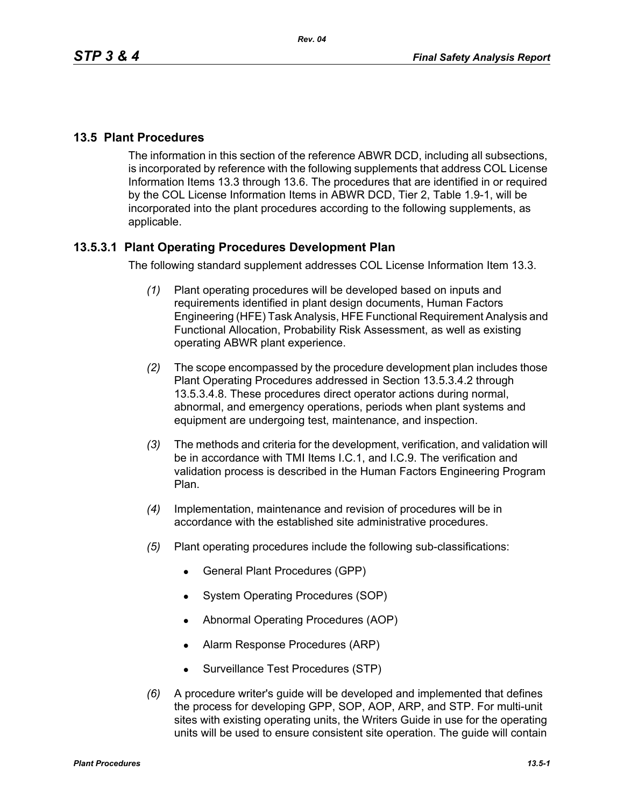# **13.5 Plant Procedures**

The information in this section of the reference ABWR DCD, including all subsections, is incorporated by reference with the following supplements that address COL License Information Items 13.3 through 13.6. The procedures that are identified in or required by the COL License Information Items in ABWR DCD, Tier 2, Table 1.9-1, will be incorporated into the plant procedures according to the following supplements, as applicable.

# **13.5.3.1 Plant Operating Procedures Development Plan**

The following standard supplement addresses COL License Information Item 13.3.

- *(1)* Plant operating procedures will be developed based on inputs and requirements identified in plant design documents, Human Factors Engineering (HFE) Task Analysis, HFE Functional Requirement Analysis and Functional Allocation, Probability Risk Assessment, as well as existing operating ABWR plant experience.
- *(2)* The scope encompassed by the procedure development plan includes those Plant Operating Procedures addressed in Section 13.5.3.4.2 through 13.5.3.4.8. These procedures direct operator actions during normal, abnormal, and emergency operations, periods when plant systems and equipment are undergoing test, maintenance, and inspection.
- *(3)* The methods and criteria for the development, verification, and validation will be in accordance with TMI Items I.C.1, and I.C.9. The verification and validation process is described in the Human Factors Engineering Program Plan.
- *(4)* Implementation, maintenance and revision of procedures will be in accordance with the established site administrative procedures.
- *(5)* Plant operating procedures include the following sub-classifications:
	- General Plant Procedures (GPP)
	- System Operating Procedures (SOP)
	- Abnormal Operating Procedures (AOP)
	- Alarm Response Procedures (ARP)
	- Surveillance Test Procedures (STP)
- *(6)* A procedure writer's guide will be developed and implemented that defines the process for developing GPP, SOP, AOP, ARP, and STP. For multi-unit sites with existing operating units, the Writers Guide in use for the operating units will be used to ensure consistent site operation. The guide will contain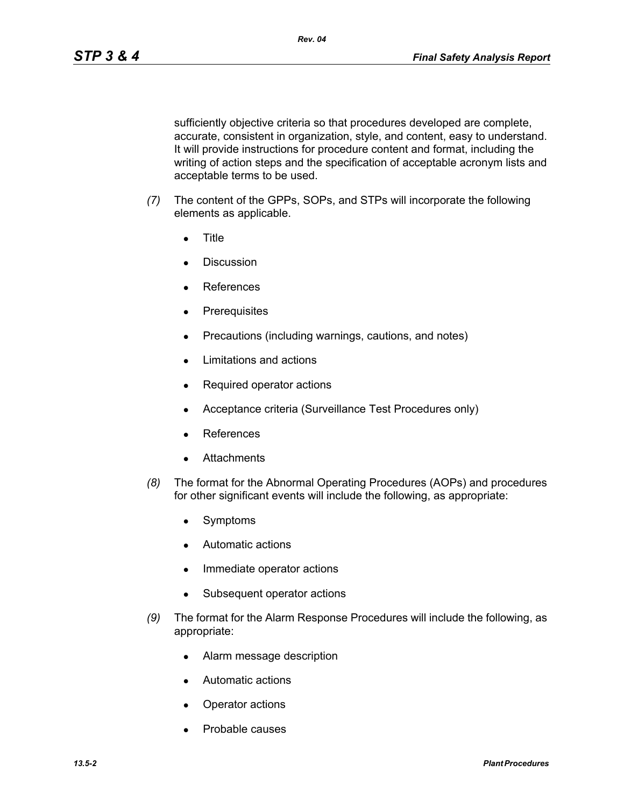sufficiently objective criteria so that procedures developed are complete, accurate, consistent in organization, style, and content, easy to understand. It will provide instructions for procedure content and format, including the writing of action steps and the specification of acceptable acronym lists and acceptable terms to be used.

- *(7)* The content of the GPPs, SOPs, and STPs will incorporate the following elements as applicable.
	- **Title**
	- Discussion
	- **References**
	- Prerequisites
	- Precautions (including warnings, cautions, and notes)
	- Limitations and actions
	- Required operator actions
	- Acceptance criteria (Surveillance Test Procedures only)
	- **References**
	- **Attachments**
- *(8)* The format for the Abnormal Operating Procedures (AOPs) and procedures for other significant events will include the following, as appropriate:
	- Symptoms
	- Automatic actions
	- Immediate operator actions
	- Subsequent operator actions
- *(9)* The format for the Alarm Response Procedures will include the following, as appropriate:
	- Alarm message description
	- Automatic actions
	- Operator actions
	- Probable causes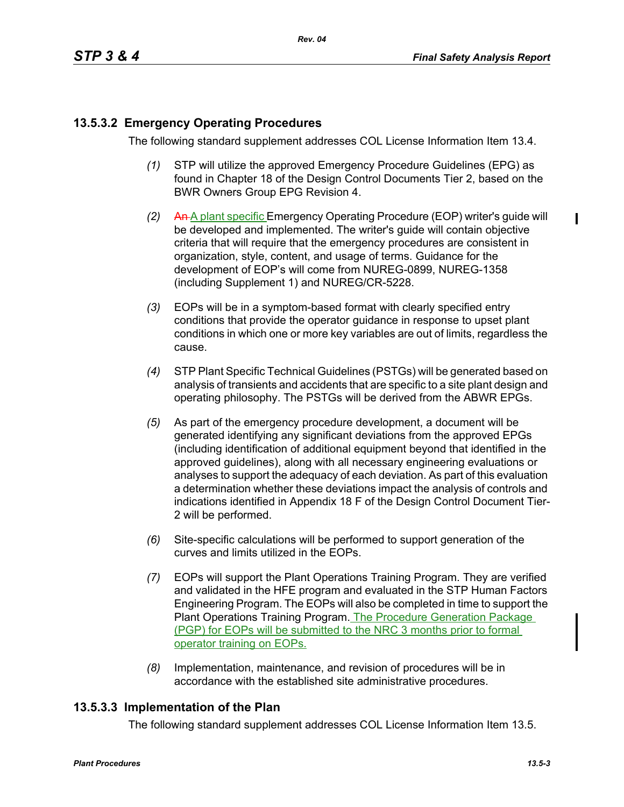# **13.5.3.2 Emergency Operating Procedures**

The following standard supplement addresses COL License Information Item 13.4.

- *(1)* STP will utilize the approved Emergency Procedure Guidelines (EPG) as found in Chapter 18 of the Design Control Documents Tier 2, based on the BWR Owners Group EPG Revision 4.
- *(2)* An A plant specific Emergency Operating Procedure (EOP) writer's guide will be developed and implemented. The writer's guide will contain objective criteria that will require that the emergency procedures are consistent in organization, style, content, and usage of terms. Guidance for the development of EOP's will come from NUREG-0899, NUREG-1358 (including Supplement 1) and NUREG/CR-5228.
- *(3)* EOPs will be in a symptom-based format with clearly specified entry conditions that provide the operator guidance in response to upset plant conditions in which one or more key variables are out of limits, regardless the cause.
- *(4)* STP Plant Specific Technical Guidelines (PSTGs) will be generated based on analysis of transients and accidents that are specific to a site plant design and operating philosophy. The PSTGs will be derived from the ABWR EPGs.
- *(5)* As part of the emergency procedure development, a document will be generated identifying any significant deviations from the approved EPGs (including identification of additional equipment beyond that identified in the approved guidelines), along with all necessary engineering evaluations or analyses to support the adequacy of each deviation. As part of this evaluation a determination whether these deviations impact the analysis of controls and indications identified in Appendix 18 F of the Design Control Document Tier-2 will be performed.
- *(6)* Site-specific calculations will be performed to support generation of the curves and limits utilized in the EOPs.
- *(7)* EOPs will support the Plant Operations Training Program. They are verified and validated in the HFE program and evaluated in the STP Human Factors Engineering Program. The EOPs will also be completed in time to support the Plant Operations Training Program. The Procedure Generation Package (PGP) for EOPs will be submitted to the NRC 3 months prior to formal operator training on EOPs.
- *(8)* Implementation, maintenance, and revision of procedures will be in accordance with the established site administrative procedures.

### **13.5.3.3 Implementation of the Plan**

The following standard supplement addresses COL License Information Item 13.5.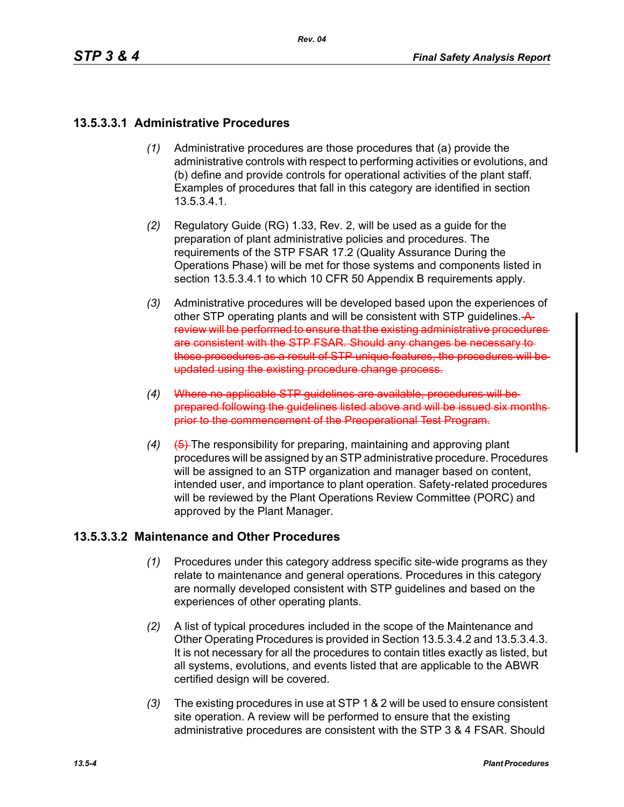## **13.5.3.3.1 Administrative Procedures**

- *(1)* Administrative procedures are those procedures that (a) provide the administrative controls with respect to performing activities or evolutions, and (b) define and provide controls for operational activities of the plant staff. Examples of procedures that fall in this category are identified in section 13.5.3.4.1.
- *(2)* Regulatory Guide (RG) 1.33, Rev. 2, will be used as a guide for the preparation of plant administrative policies and procedures. The requirements of the STP FSAR 17.2 (Quality Assurance During the Operations Phase) will be met for those systems and components listed in section 13.5.3.4.1 to which 10 CFR 50 Appendix B requirements apply.
- *(3)* Administrative procedures will be developed based upon the experiences of other STP operating plants and will be consistent with STP guidelines.  $\rightarrow$ review will be performed to ensure that the existing administrative procedures are consistent with the STP FSAR. Should any changes be necessary to those procedures as a result of STP unique features, the procedures will be updated using the existing procedure change process.
- *(4)* Where no applicable STP guidelines are available, procedures will be prepared following the guidelines listed above and will be issued six months prior to the commencement of the Preoperational Test Program.
- *(4)* (5) The responsibility for preparing, maintaining and approving plant procedures will be assigned by an STP administrative procedure. Procedures will be assigned to an STP organization and manager based on content, intended user, and importance to plant operation. Safety-related procedures will be reviewed by the Plant Operations Review Committee (PORC) and approved by the Plant Manager.

### **13.5.3.3.2 Maintenance and Other Procedures**

- *(1)* Procedures under this category address specific site-wide programs as they relate to maintenance and general operations. Procedures in this category are normally developed consistent with STP guidelines and based on the experiences of other operating plants.
- *(2)* A list of typical procedures included in the scope of the Maintenance and Other Operating Procedures is provided in Section 13.5.3.4.2 and 13.5.3.4.3. It is not necessary for all the procedures to contain titles exactly as listed, but all systems, evolutions, and events listed that are applicable to the ABWR certified design will be covered.
- *(3)* The existing procedures in use at STP 1 & 2 will be used to ensure consistent site operation. A review will be performed to ensure that the existing administrative procedures are consistent with the STP 3 & 4 FSAR. Should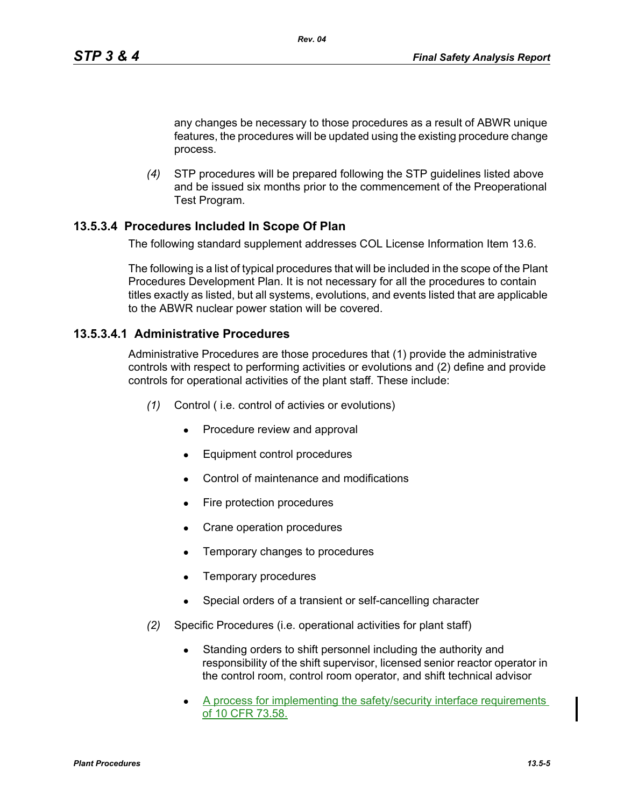any changes be necessary to those procedures as a result of ABWR unique features, the procedures will be updated using the existing procedure change process.

*(4)* STP procedures will be prepared following the STP guidelines listed above and be issued six months prior to the commencement of the Preoperational Test Program.

#### **13.5.3.4 Procedures Included In Scope Of Plan**

The following standard supplement addresses COL License Information Item 13.6.

*Rev. 04*

The following is a list of typical procedures that will be included in the scope of the Plant Procedures Development Plan. It is not necessary for all the procedures to contain titles exactly as listed, but all systems, evolutions, and events listed that are applicable to the ABWR nuclear power station will be covered.

#### **13.5.3.4.1 Administrative Procedures**

Administrative Procedures are those procedures that (1) provide the administrative controls with respect to performing activities or evolutions and (2) define and provide controls for operational activities of the plant staff. These include:

- *(1)* Control ( i.e. control of activies or evolutions)
	- Procedure review and approval
	- Equipment control procedures
	- <sup>z</sup>Control of maintenance and modifications
	- Fire protection procedures
	- Crane operation procedures
	- Temporary changes to procedures
	- Temporary procedures
	- Special orders of a transient or self-cancelling character
- *(2)* Specific Procedures (i.e. operational activities for plant staff)
	- Standing orders to shift personnel including the authority and responsibility of the shift supervisor, licensed senior reactor operator in the control room, control room operator, and shift technical advisor
	- A process for implementing the safety/security interface requirements of 10 CFR 73.58.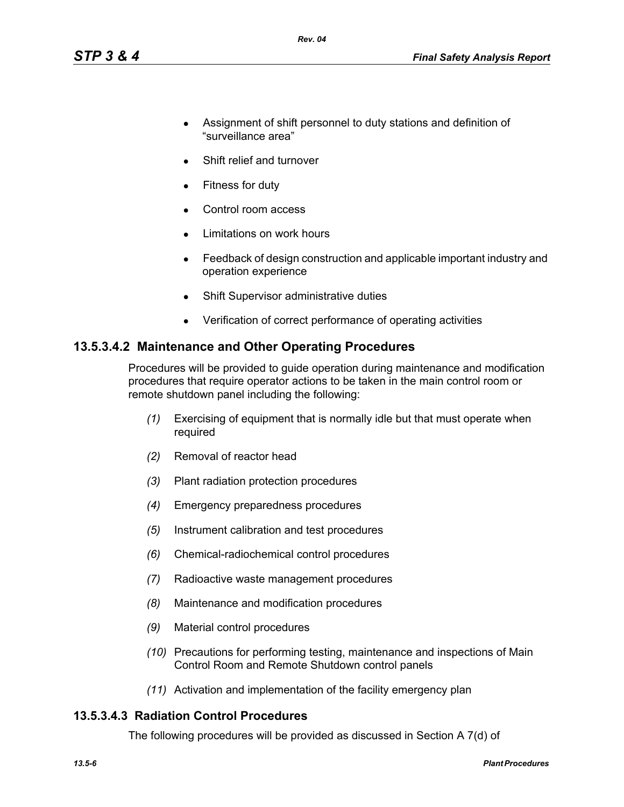- Assignment of shift personnel to duty stations and definition of "surveillance area"
- Shift relief and turnover
- Fitness for duty
- Control room access
- Limitations on work hours
- Feedback of design construction and applicable important industry and operation experience
- Shift Supervisor administrative duties
- Verification of correct performance of operating activities

### **13.5.3.4.2 Maintenance and Other Operating Procedures**

Procedures will be provided to guide operation during maintenance and modification procedures that require operator actions to be taken in the main control room or remote shutdown panel including the following:

- *(1)* Exercising of equipment that is normally idle but that must operate when required
- *(2)* Removal of reactor head
- *(3)* Plant radiation protection procedures
- *(4)* Emergency preparedness procedures
- *(5)* Instrument calibration and test procedures
- *(6)* Chemical-radiochemical control procedures
- *(7)* Radioactive waste management procedures
- *(8)* Maintenance and modification procedures
- *(9)* Material control procedures
- *(10)* Precautions for performing testing, maintenance and inspections of Main Control Room and Remote Shutdown control panels
- *(11)* Activation and implementation of the facility emergency plan

#### **13.5.3.4.3 Radiation Control Procedures**

The following procedures will be provided as discussed in Section A 7(d) of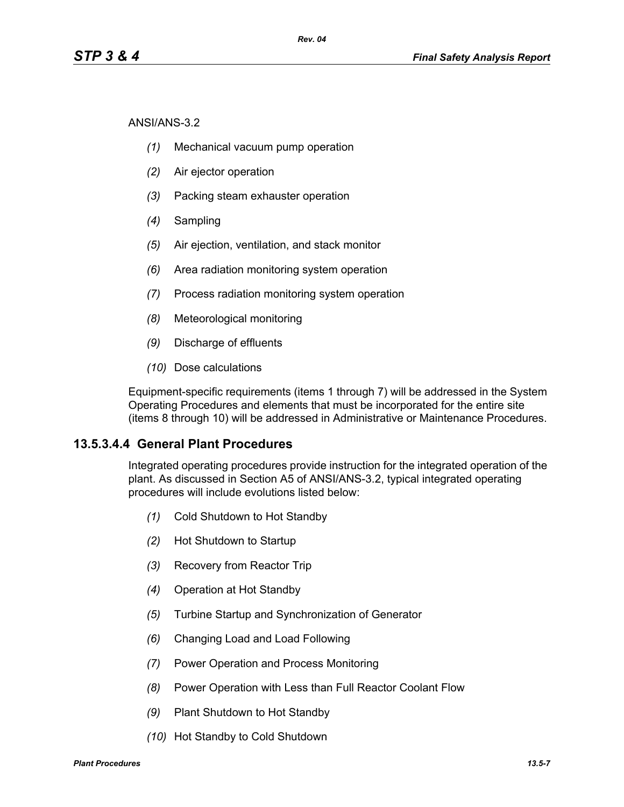ANSI/ANS-3.2

- *(1)* Mechanical vacuum pump operation
- *(2)* Air ejector operation
- *(3)* Packing steam exhauster operation
- *(4)* Sampling
- *(5)* Air ejection, ventilation, and stack monitor
- *(6)* Area radiation monitoring system operation
- *(7)* Process radiation monitoring system operation
- *(8)* Meteorological monitoring
- *(9)* Discharge of effluents
- *(10)* Dose calculations

Equipment-specific requirements (items 1 through 7) will be addressed in the System Operating Procedures and elements that must be incorporated for the entire site (items 8 through 10) will be addressed in Administrative or Maintenance Procedures.

### **13.5.3.4.4 General Plant Procedures**

Integrated operating procedures provide instruction for the integrated operation of the plant. As discussed in Section A5 of ANSI/ANS-3.2, typical integrated operating procedures will include evolutions listed below:

- *(1)* Cold Shutdown to Hot Standby
- *(2)* Hot Shutdown to Startup
- *(3)* Recovery from Reactor Trip
- *(4)* Operation at Hot Standby
- *(5)* Turbine Startup and Synchronization of Generator
- *(6)* Changing Load and Load Following
- *(7)* Power Operation and Process Monitoring
- *(8)* Power Operation with Less than Full Reactor Coolant Flow
- *(9)* Plant Shutdown to Hot Standby
- *(10)* Hot Standby to Cold Shutdown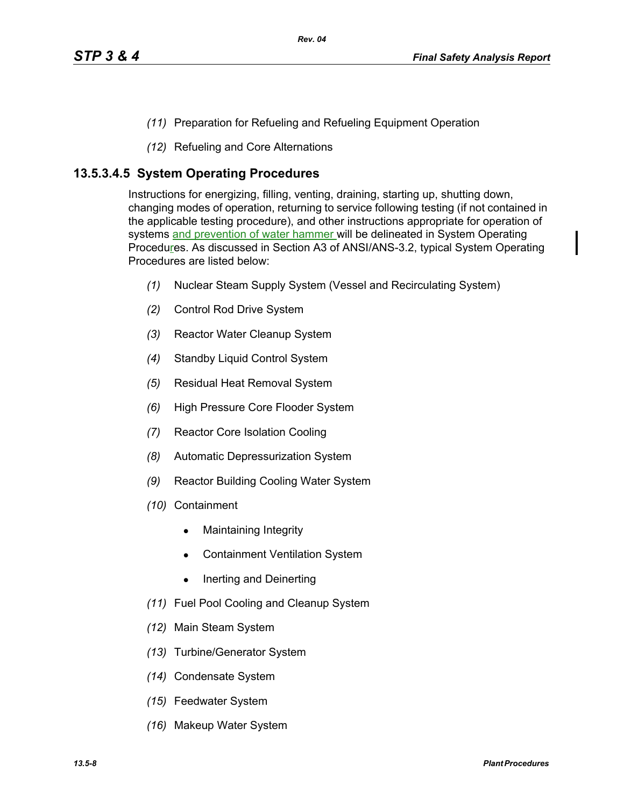- *(11)* Preparation for Refueling and Refueling Equipment Operation
- *(12)* Refueling and Core Alternations

## **13.5.3.4.5 System Operating Procedures**

Instructions for energizing, filling, venting, draining, starting up, shutting down, changing modes of operation, returning to service following testing (if not contained in the applicable testing procedure), and other instructions appropriate for operation of systems and prevention of water hammer will be delineated in System Operating Procedures. As discussed in Section A3 of ANSI/ANS-3.2, typical System Operating Procedures are listed below:

- *(1)* Nuclear Steam Supply System (Vessel and Recirculating System)
- *(2)* Control Rod Drive System
- *(3)* Reactor Water Cleanup System
- *(4)* Standby Liquid Control System
- *(5)* Residual Heat Removal System
- *(6)* High Pressure Core Flooder System
- *(7)* Reactor Core Isolation Cooling
- *(8)* Automatic Depressurization System
- *(9)* Reactor Building Cooling Water System
- *(10)* Containment
	- Maintaining Integrity
	- **Containment Ventilation System**
	- $\bullet$  Inerting and Deinerting
- *(11)* Fuel Pool Cooling and Cleanup System
- *(12)* Main Steam System
- *(13)* Turbine/Generator System
- *(14)* Condensate System
- *(15)* Feedwater System
- *(16)* Makeup Water System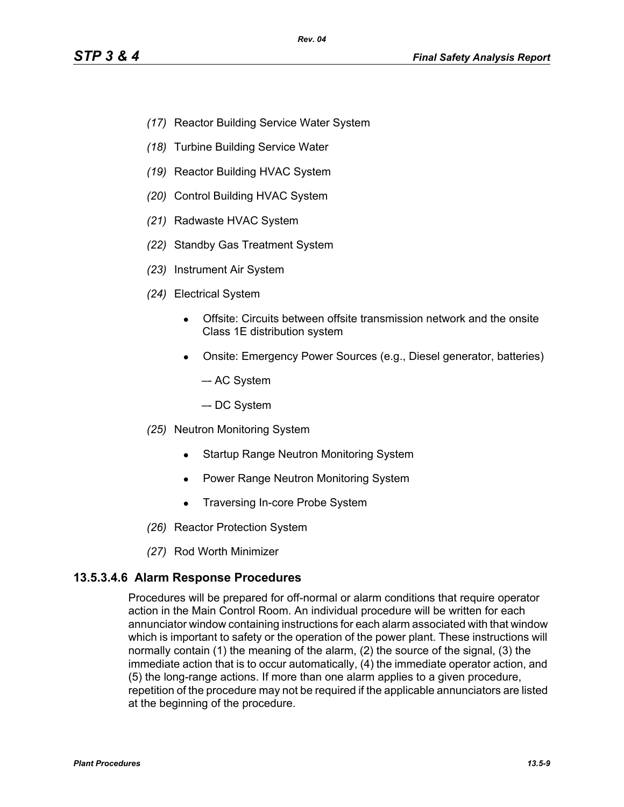- *(17)* Reactor Building Service Water System
- *(18)* Turbine Building Service Water
- *(19)* Reactor Building HVAC System
- *(20)* Control Building HVAC System
- *(21)* Radwaste HVAC System
- *(22)* Standby Gas Treatment System
- *(23)* Instrument Air System
- *(24)* Electrical System
	- Offsite: Circuits between offsite transmission network and the onsite Class 1E distribution system
	- Onsite: Emergency Power Sources (e.g., Diesel generator, batteries)
		- –- AC System
		- –- DC System
- *(25)* Neutron Monitoring System
	- Startup Range Neutron Monitoring System
	- Power Range Neutron Monitoring System
	- Traversing In-core Probe System
- *(26)* Reactor Protection System
- *(27)* Rod Worth Minimizer

#### **13.5.3.4.6 Alarm Response Procedures**

Procedures will be prepared for off-normal or alarm conditions that require operator action in the Main Control Room. An individual procedure will be written for each annunciator window containing instructions for each alarm associated with that window which is important to safety or the operation of the power plant. These instructions will normally contain (1) the meaning of the alarm, (2) the source of the signal, (3) the immediate action that is to occur automatically, (4) the immediate operator action, and (5) the long-range actions. If more than one alarm applies to a given procedure, repetition of the procedure may not be required if the applicable annunciators are listed at the beginning of the procedure.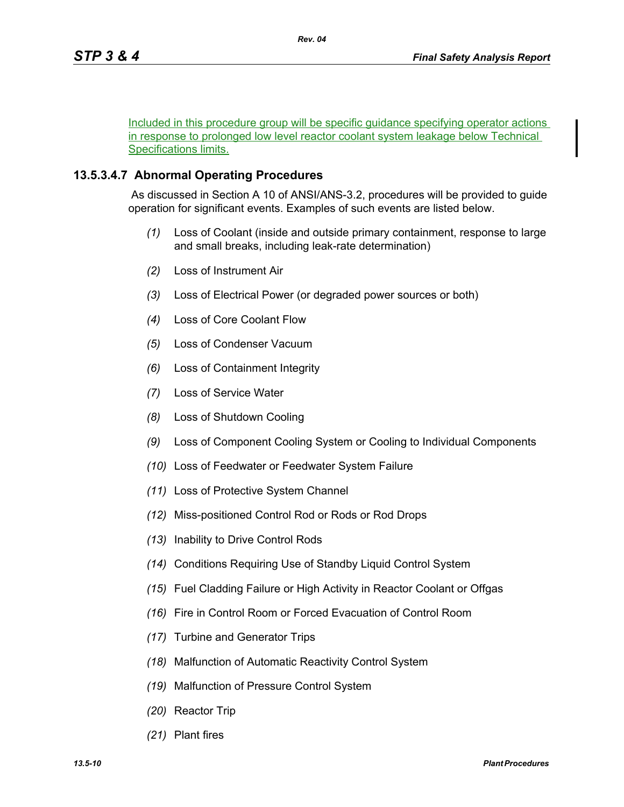Included in this procedure group will be specific guidance specifying operator actions in response to prolonged low level reactor coolant system leakage below Technical Specifications limits.

## **13.5.3.4.7 Abnormal Operating Procedures**

 As discussed in Section A 10 of ANSI/ANS-3.2, procedures will be provided to guide operation for significant events. Examples of such events are listed below.

- *(1)* Loss of Coolant (inside and outside primary containment, response to large and small breaks, including leak-rate determination)
- *(2)* Loss of Instrument Air
- *(3)* Loss of Electrical Power (or degraded power sources or both)
- *(4)* Loss of Core Coolant Flow
- *(5)* Loss of Condenser Vacuum
- *(6)* Loss of Containment Integrity
- *(7)* Loss of Service Water
- *(8)* Loss of Shutdown Cooling
- *(9)* Loss of Component Cooling System or Cooling to Individual Components
- *(10)* Loss of Feedwater or Feedwater System Failure
- *(11)* Loss of Protective System Channel
- *(12)* Miss-positioned Control Rod or Rods or Rod Drops
- *(13)* Inability to Drive Control Rods
- *(14)* Conditions Requiring Use of Standby Liquid Control System
- *(15)* Fuel Cladding Failure or High Activity in Reactor Coolant or Offgas
- *(16)* Fire in Control Room or Forced Evacuation of Control Room
- *(17)* Turbine and Generator Trips
- *(18)* Malfunction of Automatic Reactivity Control System
- *(19)* Malfunction of Pressure Control System
- *(20)* Reactor Trip
- *(21)* Plant fires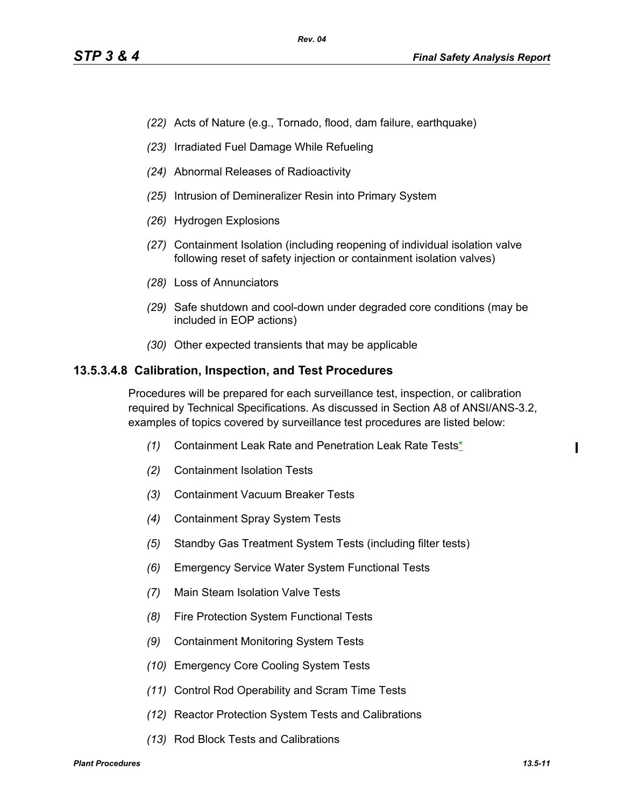- *(22)* Acts of Nature (e.g., Tornado, flood, dam failure, earthquake)
- *(23)* Irradiated Fuel Damage While Refueling
- *(24)* Abnormal Releases of Radioactivity
- *(25)* Intrusion of Demineralizer Resin into Primary System
- *(26)* Hydrogen Explosions
- *(27)* Containment Isolation (including reopening of individual isolation valve following reset of safety injection or containment isolation valves)
- *(28)* Loss of Annunciators
- *(29)* Safe shutdown and cool-down under degraded core conditions (may be included in EOP actions)
- *(30)* Other expected transients that may be applicable

#### **13.5.3.4.8 Calibration, Inspection, and Test Procedures**

Procedures will be prepared for each surveillance test, inspection, or calibration required by Technical Specifications. As discussed in Section A8 of ANSI/ANS-3.2, examples of topics covered by surveillance test procedures are listed below:

- *(1)* Containment Leak Rate and Penetration Leak Rate Tests\*
- *(2)* Containment Isolation Tests
- *(3)* Containment Vacuum Breaker Tests
- *(4)* Containment Spray System Tests
- *(5)* Standby Gas Treatment System Tests (including filter tests)
- *(6)* Emergency Service Water System Functional Tests
- *(7)* Main Steam Isolation Valve Tests
- *(8)* Fire Protection System Functional Tests
- *(9)* Containment Monitoring System Tests
- *(10)* Emergency Core Cooling System Tests
- *(11)* Control Rod Operability and Scram Time Tests
- *(12)* Reactor Protection System Tests and Calibrations
- *(13)* Rod Block Tests and Calibrations

I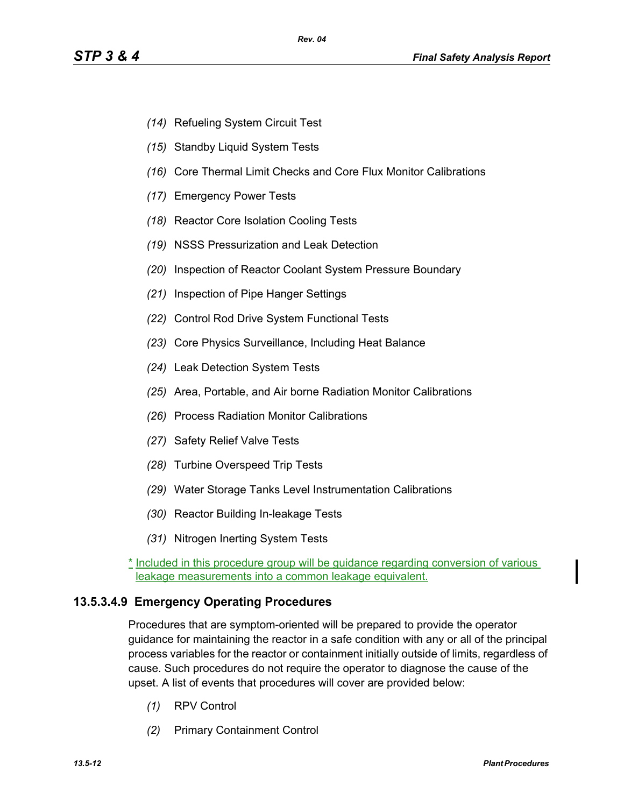- *(14)* Refueling System Circuit Test
- *(15)* Standby Liquid System Tests
- *(16)* Core Thermal Limit Checks and Core Flux Monitor Calibrations
- *(17)* Emergency Power Tests
- *(18)* Reactor Core Isolation Cooling Tests
- *(19)* NSSS Pressurization and Leak Detection
- *(20)* Inspection of Reactor Coolant System Pressure Boundary
- *(21)* Inspection of Pipe Hanger Settings
- *(22)* Control Rod Drive System Functional Tests
- *(23)* Core Physics Surveillance, Including Heat Balance
- *(24)* Leak Detection System Tests
- *(25)* Area, Portable, and Air borne Radiation Monitor Calibrations
- *(26)* Process Radiation Monitor Calibrations
- *(27)* Safety Relief Valve Tests
- *(28)* Turbine Overspeed Trip Tests
- *(29)* Water Storage Tanks Level Instrumentation Calibrations
- *(30)* Reactor Building In-leakage Tests
- *(31)* Nitrogen Inerting System Tests
- \* Included in this procedure group will be guidance regarding conversion of various leakage measurements into a common leakage equivalent.

### **13.5.3.4.9 Emergency Operating Procedures**

Procedures that are symptom-oriented will be prepared to provide the operator guidance for maintaining the reactor in a safe condition with any or all of the principal process variables for the reactor or containment initially outside of limits, regardless of cause. Such procedures do not require the operator to diagnose the cause of the upset. A list of events that procedures will cover are provided below:

- *(1)* RPV Control
- *(2)* Primary Containment Control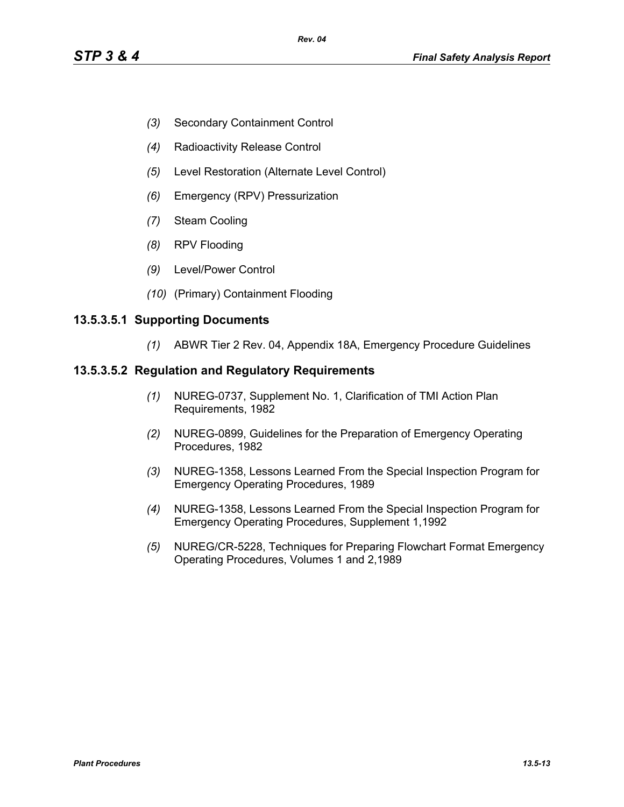- *(3)* Secondary Containment Control
- *(4)* Radioactivity Release Control
- *(5)* Level Restoration (Alternate Level Control)
- *(6)* Emergency (RPV) Pressurization
- *(7)* Steam Cooling
- *(8)* RPV Flooding
- *(9)* Level/Power Control
- *(10)* (Primary) Containment Flooding

#### **13.5.3.5.1 Supporting Documents**

*(1)* ABWR Tier 2 Rev. 04, Appendix 18A, Emergency Procedure Guidelines

#### **13.5.3.5.2 Regulation and Regulatory Requirements**

- *(1)* NUREG-0737, Supplement No. 1, Clarification of TMI Action Plan Requirements, 1982
- *(2)* NUREG-0899, Guidelines for the Preparation of Emergency Operating Procedures, 1982
- *(3)* NUREG-1358, Lessons Learned From the Special Inspection Program for Emergency Operating Procedures, 1989
- *(4)* NUREG-1358, Lessons Learned From the Special Inspection Program for Emergency Operating Procedures, Supplement 1,1992
- *(5)* NUREG/CR-5228, Techniques for Preparing Flowchart Format Emergency Operating Procedures, Volumes 1 and 2,1989